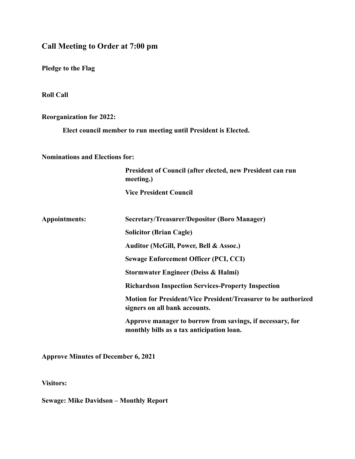**Call Meeting to Order at 7:00 pm** 

**Pledge to the Flag**

**Roll Call**

**Reorganization for 2022:**

**Elect council member to run meeting until President is Elected.**

**Nominations and Elections for:**

**President of Council (after elected, new President can run meeting.)**

**Vice President Council**

| Appointments: | <b>Secretary/Treasurer/Depositor (Boro Manager)</b>                                                    |
|---------------|--------------------------------------------------------------------------------------------------------|
|               | <b>Solicitor (Brian Cagle)</b>                                                                         |
|               | Auditor (McGill, Power, Bell & Assoc.)                                                                 |
|               | <b>Sewage Enforcement Officer (PCI, CCI)</b>                                                           |
|               | Stormwater Engineer (Deiss & Halmi)                                                                    |
|               | <b>Richardson Inspection Services-Property Inspection</b>                                              |
|               | Motion for President/Vice President/Treasurer to be authorized<br>signers on all bank accounts.        |
|               | Approve manager to borrow from savings, if necessary, for<br>monthly bills as a tax anticipation loan. |

**Approve Minutes of December 6, 2021**

**Visitors:** 

**Sewage: Mike Davidson – Monthly Report**